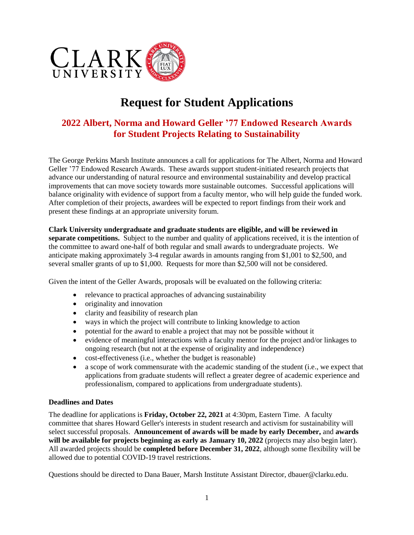

# **Request for Student Applications**

# **2022 Albert, Norma and Howard Geller '77 Endowed Research Awards for Student Projects Relating to Sustainability**

The George Perkins Marsh Institute announces a call for applications for The Albert, Norma and Howard Geller '77 Endowed Research Awards. These awards support student-initiated research projects that advance our understanding of natural resource and environmental sustainability and develop practical improvements that can move society towards more sustainable outcomes. Successful applications will balance originality with evidence of support from a faculty mentor, who will help guide the funded work. After completion of their projects, awardees will be expected to report findings from their work and present these findings at an appropriate university forum.

# **Clark University undergraduate and graduate students are eligible, and will be reviewed in**

**separate competitions.** Subject to the number and quality of applications received, it is the intention of the committee to award one-half of both regular and small awards to undergraduate projects. We anticipate making approximately 3-4 regular awards in amounts ranging from \$1,001 to \$2,500, and several smaller grants of up to \$1,000. Requests for more than \$2,500 will not be considered.

Given the intent of the Geller Awards, proposals will be evaluated on the following criteria:

- relevance to practical approaches of advancing sustainability
- originality and innovation
- clarity and feasibility of research plan
- ways in which the project will contribute to linking knowledge to action
- potential for the award to enable a project that may not be possible without it
- evidence of meaningful interactions with a faculty mentor for the project and/or linkages to ongoing research (but not at the expense of originality and independence)
- cost-effectiveness (i.e., whether the budget is reasonable)
- a scope of work commensurate with the academic standing of the student (i.e., we expect that applications from graduate students will reflect a greater degree of academic experience and professionalism, compared to applications from undergraduate students).

#### **Deadlines and Dates**

The deadline for applications is **Friday, October 22, 2021** at 4:30pm, Eastern Time. A faculty committee that shares Howard Geller's interests in student research and activism for sustainability will select successful proposals. **Announcement of awards will be made by early December,** and **awards will be available for projects beginning as early as January 10, 2022** (projects may also begin later). All awarded projects should be **completed before December 31, 2022**, although some flexibility will be allowed due to potential COVID-19 travel restrictions.

Questions should be directed to Dana Bauer, Marsh Institute Assistant Director, dbauer@clarku.edu.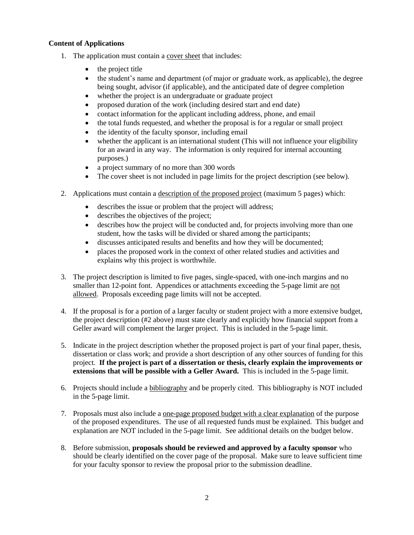# **Content of Applications**

- 1. The application must contain a cover sheet that includes:
	- the project title
	- the student's name and department (of major or graduate work, as applicable), the degree being sought, advisor (if applicable), and the anticipated date of degree completion
	- whether the project is an undergraduate or graduate project
	- proposed duration of the work (including desired start and end date)
	- contact information for the applicant including address, phone, and email
	- the total funds requested, and whether the proposal is for a regular or small project
	- the identity of the faculty sponsor, including email
	- whether the applicant is an international student (This will not influence your eligibility for an award in any way. The information is only required for internal accounting purposes.)
	- a project summary of no more than 300 words
	- The cover sheet is not included in page limits for the project description (see below).
- 2. Applications must contain a description of the proposed project (maximum 5 pages) which:
	- describes the issue or problem that the project will address;
	- describes the objectives of the project;
	- describes how the project will be conducted and, for projects involving more than one student, how the tasks will be divided or shared among the participants;
	- discusses anticipated results and benefits and how they will be documented;
	- places the proposed work in the context of other related studies and activities and explains why this project is worthwhile.
- 3. The project description is limited to five pages, single-spaced, with one-inch margins and no smaller than 12-point font. Appendices or attachments exceeding the 5-page limit are not allowed. Proposals exceeding page limits will not be accepted.
- 4. If the proposal is for a portion of a larger faculty or student project with a more extensive budget, the project description (#2 above) must state clearly and explicitly how financial support from a Geller award will complement the larger project. This is included in the 5-page limit.
- 5. Indicate in the project description whether the proposed project is part of your final paper, thesis, dissertation or class work; and provide a short description of any other sources of funding for this project. **If the project is part of a dissertation or thesis, clearly explain the improvements or extensions that will be possible with a Geller Award.** This is included in the 5-page limit.
- 6. Projects should include a bibliography and be properly cited. This bibliography is NOT included in the 5-page limit.
- 7. Proposals must also include a one-page proposed budget with a clear explanation of the purpose of the proposed expenditures. The use of all requested funds must be explained. This budget and explanation are NOT included in the 5-page limit. See additional details on the budget below.
- 8. Before submission, **proposals should be reviewed and approved by a faculty sponsor** who should be clearly identified on the cover page of the proposal. Make sure to leave sufficient time for your faculty sponsor to review the proposal prior to the submission deadline.